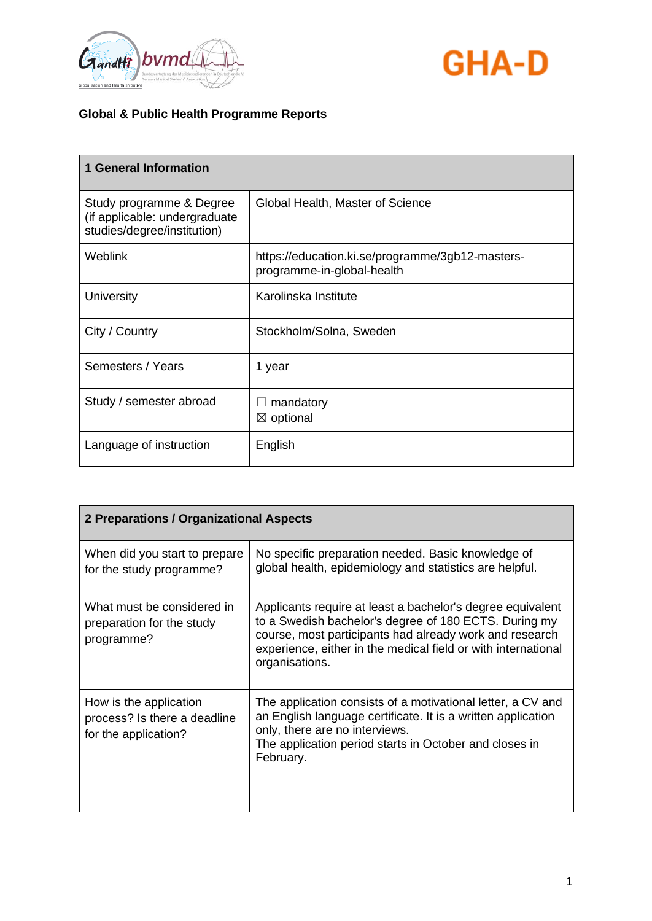



| <b>1 General Information</b>                                                             |                                                                                |
|------------------------------------------------------------------------------------------|--------------------------------------------------------------------------------|
| Study programme & Degree<br>(if applicable: undergraduate<br>studies/degree/institution) | Global Health, Master of Science                                               |
| <b>Weblink</b>                                                                           | https://education.ki.se/programme/3gb12-masters-<br>programme-in-global-health |
| University                                                                               | Karolinska Institute                                                           |
| City / Country                                                                           | Stockholm/Solna, Sweden                                                        |
| Semesters / Years                                                                        | 1 year                                                                         |
| Study / semester abroad                                                                  | mandatory<br>$\boxtimes$ optional                                              |
| Language of instruction                                                                  | English                                                                        |

| 2 Preparations / Organizational Aspects                                        |                                                                                                                                                                                                                                                                   |
|--------------------------------------------------------------------------------|-------------------------------------------------------------------------------------------------------------------------------------------------------------------------------------------------------------------------------------------------------------------|
| When did you start to prepare<br>for the study programme?                      | No specific preparation needed. Basic knowledge of<br>global health, epidemiology and statistics are helpful.                                                                                                                                                     |
| What must be considered in<br>preparation for the study<br>programme?          | Applicants require at least a bachelor's degree equivalent<br>to a Swedish bachelor's degree of 180 ECTS. During my<br>course, most participants had already work and research<br>experience, either in the medical field or with international<br>organisations. |
| How is the application<br>process? Is there a deadline<br>for the application? | The application consists of a motivational letter, a CV and<br>an English language certificate. It is a written application<br>only, there are no interviews.<br>The application period starts in October and closes in<br>February.                              |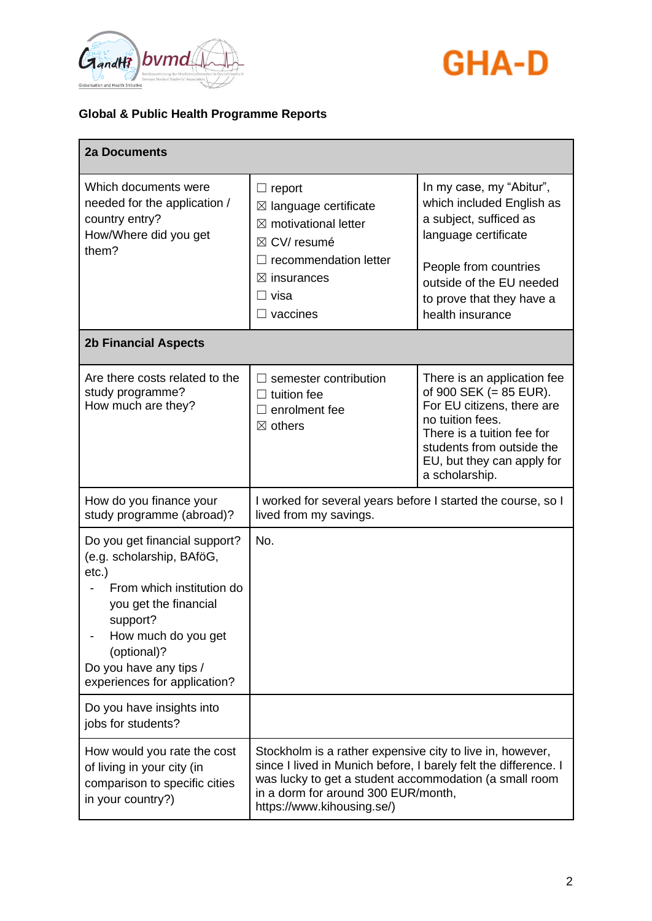



| <b>2a Documents</b>                                                                                                                                                                                                                      |                                                                                                                                                                                                                                                             |                                                                                                                                                                                                                      |
|------------------------------------------------------------------------------------------------------------------------------------------------------------------------------------------------------------------------------------------|-------------------------------------------------------------------------------------------------------------------------------------------------------------------------------------------------------------------------------------------------------------|----------------------------------------------------------------------------------------------------------------------------------------------------------------------------------------------------------------------|
| Which documents were<br>needed for the application /<br>country entry?<br>How/Where did you get<br>them?                                                                                                                                 | $\Box$ report<br>$\boxtimes$ language certificate<br>$\boxtimes$ motivational letter<br>$\boxtimes$ CV/ resumé<br>recommendation letter<br>$\boxtimes$ insurances<br>□ visa<br>$\Box$ vaccines                                                              | In my case, my "Abitur",<br>which included English as<br>a subject, sufficed as<br>language certificate<br>People from countries<br>outside of the EU needed<br>to prove that they have a<br>health insurance        |
| <b>2b Financial Aspects</b>                                                                                                                                                                                                              |                                                                                                                                                                                                                                                             |                                                                                                                                                                                                                      |
| Are there costs related to the<br>study programme?<br>How much are they?                                                                                                                                                                 | semester contribution<br>tuition fee<br>enrolment fee<br>ΙI<br>$\boxtimes$ others                                                                                                                                                                           | There is an application fee<br>of 900 SEK $(= 85$ EUR).<br>For EU citizens, there are<br>no tuition fees.<br>There is a tuition fee for<br>students from outside the<br>EU, but they can apply for<br>a scholarship. |
| How do you finance your<br>study programme (abroad)?                                                                                                                                                                                     | I worked for several years before I started the course, so I<br>lived from my savings.                                                                                                                                                                      |                                                                                                                                                                                                                      |
| Do you get financial support?<br>(e.g. scholarship, BAföG,<br>$etc.$ )<br>From which institution do<br>you get the financial<br>support?<br>How much do you get<br>(optional)?<br>Do you have any tips /<br>experiences for application? | No.                                                                                                                                                                                                                                                         |                                                                                                                                                                                                                      |
| Do you have insights into<br>jobs for students?                                                                                                                                                                                          |                                                                                                                                                                                                                                                             |                                                                                                                                                                                                                      |
| How would you rate the cost<br>of living in your city (in<br>comparison to specific cities<br>in your country?)                                                                                                                          | Stockholm is a rather expensive city to live in, however,<br>since I lived in Munich before, I barely felt the difference. I<br>was lucky to get a student accommodation (a small room<br>in a dorm for around 300 EUR/month,<br>https://www.kihousing.se/) |                                                                                                                                                                                                                      |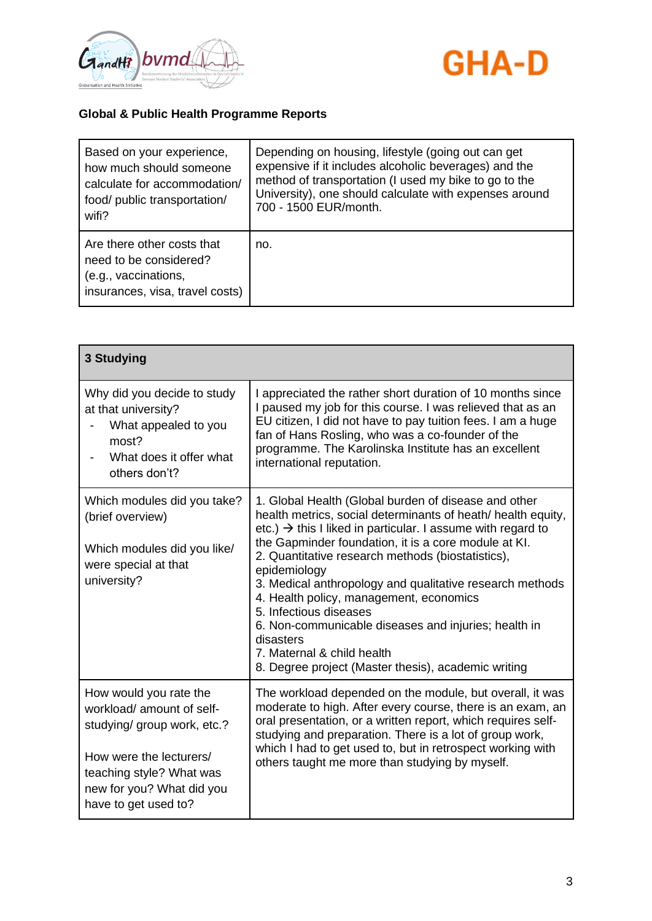



| Based on your experience,                                                                                       | Depending on housing, lifestyle (going out can get     |
|-----------------------------------------------------------------------------------------------------------------|--------------------------------------------------------|
| how much should someone                                                                                         | expensive if it includes alcoholic beverages) and the  |
| calculate for accommodation/                                                                                    | method of transportation (I used my bike to go to the  |
| food/ public transportation/                                                                                    | University), one should calculate with expenses around |
| wifi?                                                                                                           | 700 - 1500 EUR/month.                                  |
| Are there other costs that<br>need to be considered?<br>(e.g., vaccinations,<br>insurances, visa, travel costs) | no.                                                    |

| 3 Studying                                                                                                                                                                                     |                                                                                                                                                                                                                                                                                                                                                                                                                                                                                                                                                                                                                         |
|------------------------------------------------------------------------------------------------------------------------------------------------------------------------------------------------|-------------------------------------------------------------------------------------------------------------------------------------------------------------------------------------------------------------------------------------------------------------------------------------------------------------------------------------------------------------------------------------------------------------------------------------------------------------------------------------------------------------------------------------------------------------------------------------------------------------------------|
| Why did you decide to study<br>at that university?<br>What appealed to you<br>most?<br>What does it offer what<br>others don't?                                                                | I appreciated the rather short duration of 10 months since<br>I paused my job for this course. I was relieved that as an<br>EU citizen, I did not have to pay tuition fees. I am a huge<br>fan of Hans Rosling, who was a co-founder of the<br>programme. The Karolinska Institute has an excellent<br>international reputation.                                                                                                                                                                                                                                                                                        |
| Which modules did you take?<br>(brief overview)<br>Which modules did you like/<br>were special at that<br>university?                                                                          | 1. Global Health (Global burden of disease and other<br>health metrics, social determinants of heath/ health equity,<br>etc.) $\rightarrow$ this I liked in particular. I assume with regard to<br>the Gapminder foundation, it is a core module at KI.<br>2. Quantitative research methods (biostatistics),<br>epidemiology<br>3. Medical anthropology and qualitative research methods<br>4. Health policy, management, economics<br>5. Infectious diseases<br>6. Non-communicable diseases and injuries; health in<br>disasters<br>7. Maternal & child health<br>8. Degree project (Master thesis), academic writing |
| How would you rate the<br>workload/ amount of self-<br>studying/ group work, etc.?<br>How were the lecturers/<br>teaching style? What was<br>new for you? What did you<br>have to get used to? | The workload depended on the module, but overall, it was<br>moderate to high. After every course, there is an exam, an<br>oral presentation, or a written report, which requires self-<br>studying and preparation. There is a lot of group work,<br>which I had to get used to, but in retrospect working with<br>others taught me more than studying by myself.                                                                                                                                                                                                                                                       |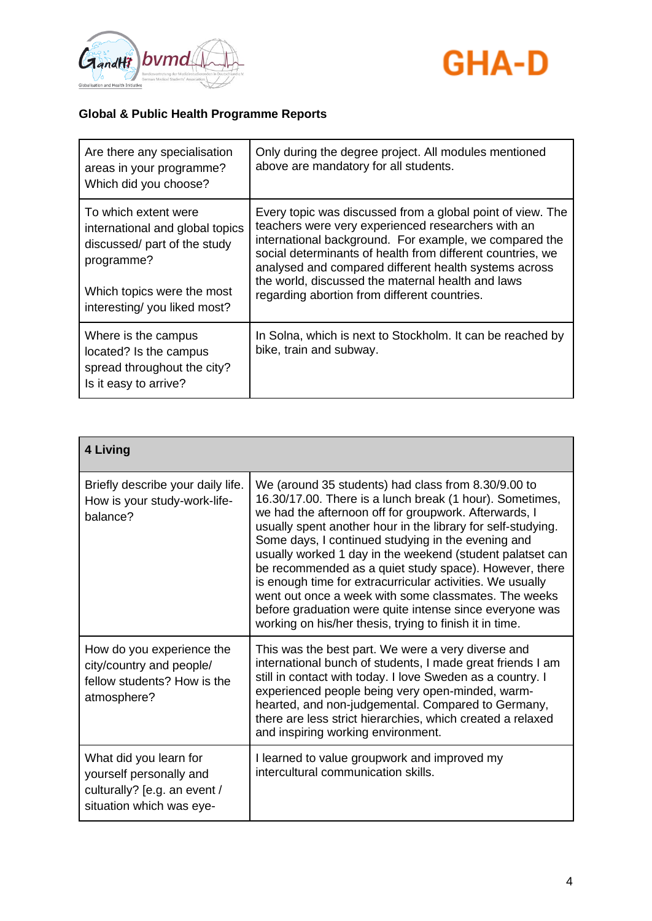



| Are there any specialisation<br>areas in your programme?<br>Which did you choose?                                                                                  | Only during the degree project. All modules mentioned<br>above are mandatory for all students.                                                                                                                                                                                                                                                                                                         |
|--------------------------------------------------------------------------------------------------------------------------------------------------------------------|--------------------------------------------------------------------------------------------------------------------------------------------------------------------------------------------------------------------------------------------------------------------------------------------------------------------------------------------------------------------------------------------------------|
| To which extent were<br>international and global topics<br>discussed/ part of the study<br>programme?<br>Which topics were the most<br>interesting/you liked most? | Every topic was discussed from a global point of view. The<br>teachers were very experienced researchers with an<br>international background. For example, we compared the<br>social determinants of health from different countries, we<br>analysed and compared different health systems across<br>the world, discussed the maternal health and laws<br>regarding abortion from different countries. |
| Where is the campus<br>located? Is the campus<br>spread throughout the city?<br>Is it easy to arrive?                                                              | In Solna, which is next to Stockholm. It can be reached by<br>bike, train and subway.                                                                                                                                                                                                                                                                                                                  |

| 4 Living                                                                                                      |                                                                                                                                                                                                                                                                                                                                                                                                                                                                                                                                                                                                                                                                  |
|---------------------------------------------------------------------------------------------------------------|------------------------------------------------------------------------------------------------------------------------------------------------------------------------------------------------------------------------------------------------------------------------------------------------------------------------------------------------------------------------------------------------------------------------------------------------------------------------------------------------------------------------------------------------------------------------------------------------------------------------------------------------------------------|
| Briefly describe your daily life.<br>How is your study-work-life-<br>balance?                                 | We (around 35 students) had class from 8.30/9.00 to<br>16.30/17.00. There is a lunch break (1 hour). Sometimes,<br>we had the afternoon off for groupwork. Afterwards, I<br>usually spent another hour in the library for self-studying.<br>Some days, I continued studying in the evening and<br>usually worked 1 day in the weekend (student palatset can<br>be recommended as a quiet study space). However, there<br>is enough time for extracurricular activities. We usually<br>went out once a week with some classmates. The weeks<br>before graduation were quite intense since everyone was<br>working on his/her thesis, trying to finish it in time. |
| How do you experience the<br>city/country and people/<br>fellow students? How is the<br>atmosphere?           | This was the best part. We were a very diverse and<br>international bunch of students, I made great friends I am<br>still in contact with today. I love Sweden as a country. I<br>experienced people being very open-minded, warm-<br>hearted, and non-judgemental. Compared to Germany,<br>there are less strict hierarchies, which created a relaxed<br>and inspiring working environment.                                                                                                                                                                                                                                                                     |
| What did you learn for<br>yourself personally and<br>culturally? [e.g. an event /<br>situation which was eye- | I learned to value groupwork and improved my<br>intercultural communication skills.                                                                                                                                                                                                                                                                                                                                                                                                                                                                                                                                                                              |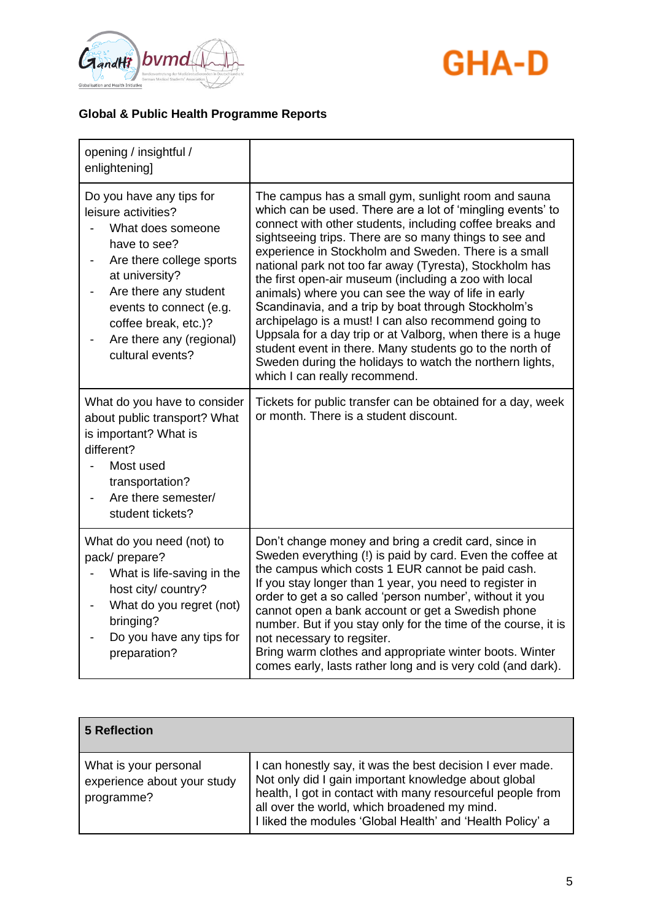



| opening / insightful /<br>enlightening]                                                                                                                                                                                                                        |                                                                                                                                                                                                                                                                                                                                                                                                                                                                                                                                                                                                                                                                                                                                                                                                                  |
|----------------------------------------------------------------------------------------------------------------------------------------------------------------------------------------------------------------------------------------------------------------|------------------------------------------------------------------------------------------------------------------------------------------------------------------------------------------------------------------------------------------------------------------------------------------------------------------------------------------------------------------------------------------------------------------------------------------------------------------------------------------------------------------------------------------------------------------------------------------------------------------------------------------------------------------------------------------------------------------------------------------------------------------------------------------------------------------|
| Do you have any tips for<br>leisure activities?<br>What does someone<br>have to see?<br>Are there college sports<br>at university?<br>Are there any student<br>events to connect (e.g.<br>coffee break, etc.)?<br>Are there any (regional)<br>cultural events? | The campus has a small gym, sunlight room and sauna<br>which can be used. There are a lot of 'mingling events' to<br>connect with other students, including coffee breaks and<br>sightseeing trips. There are so many things to see and<br>experience in Stockholm and Sweden. There is a small<br>national park not too far away (Tyresta), Stockholm has<br>the first open-air museum (including a zoo with local<br>animals) where you can see the way of life in early<br>Scandinavia, and a trip by boat through Stockholm's<br>archipelago is a must! I can also recommend going to<br>Uppsala for a day trip or at Valborg, when there is a huge<br>student event in there. Many students go to the north of<br>Sweden during the holidays to watch the northern lights,<br>which I can really recommend. |
| What do you have to consider<br>about public transport? What<br>is important? What is<br>different?<br>Most used<br>transportation?<br>Are there semester/<br>student tickets?                                                                                 | Tickets for public transfer can be obtained for a day, week<br>or month. There is a student discount.                                                                                                                                                                                                                                                                                                                                                                                                                                                                                                                                                                                                                                                                                                            |
| What do you need (not) to<br>pack/prepare?<br>What is life-saving in the<br>host city/ country?<br>What do you regret (not)<br>bringing?<br>Do you have any tips for<br>preparation?                                                                           | Don't change money and bring a credit card, since in<br>Sweden everything (!) is paid by card. Even the coffee at<br>the campus which costs 1 EUR cannot be paid cash.<br>If you stay longer than 1 year, you need to register in<br>order to get a so called 'person number', without it you<br>cannot open a bank account or get a Swedish phone<br>number. But if you stay only for the time of the course, it is<br>not necessary to regsiter.<br>Bring warm clothes and appropriate winter boots. Winter<br>comes early, lasts rather long and is very cold (and dark).                                                                                                                                                                                                                                     |

| 5 Reflection                                                       |                                                                                                                                                                                                                                                                                              |
|--------------------------------------------------------------------|----------------------------------------------------------------------------------------------------------------------------------------------------------------------------------------------------------------------------------------------------------------------------------------------|
| What is your personal<br>experience about your study<br>programme? | I can honestly say, it was the best decision I ever made.<br>Not only did I gain important knowledge about global<br>health, I got in contact with many resourceful people from<br>all over the world, which broadened my mind.<br>I liked the modules 'Global Health' and 'Health Policy' a |